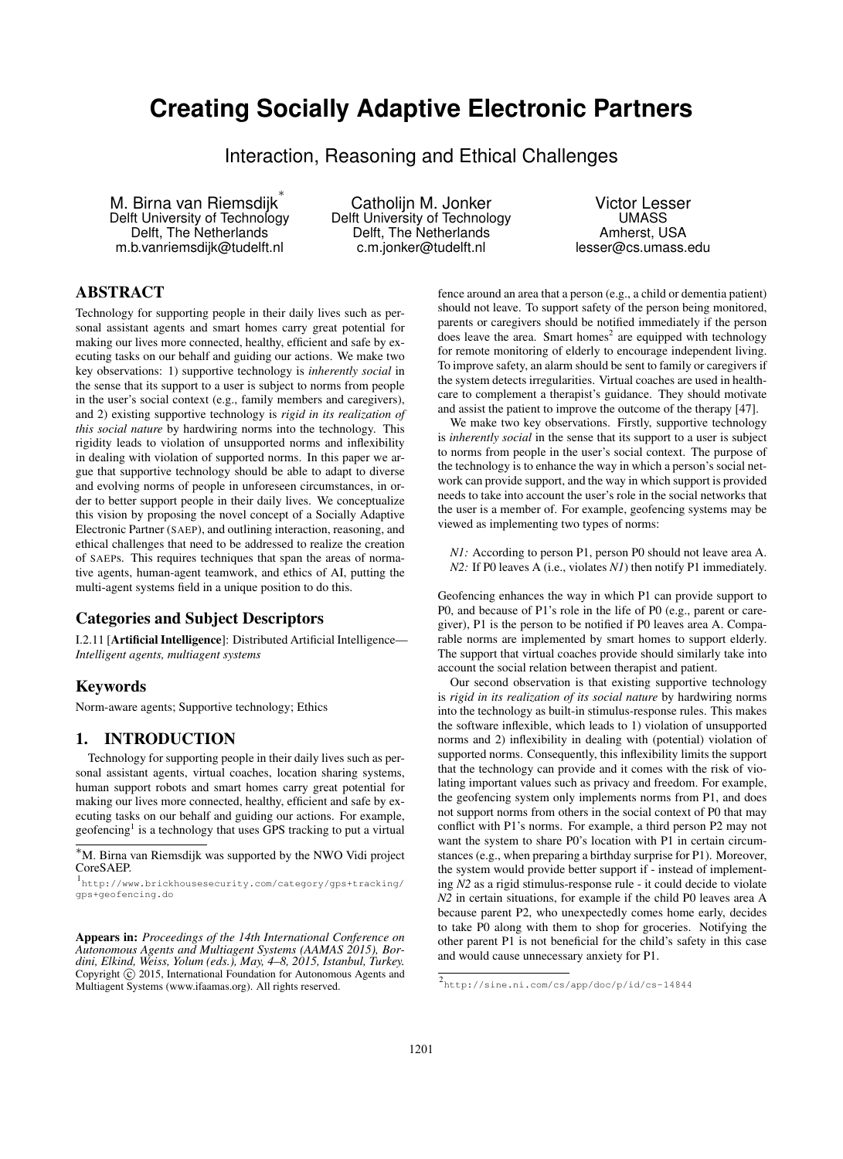# **Creating Socially Adaptive Electronic Partners**

Interaction, Reasoning and Ethical Challenges

M. Birna van Riemsdijk ∗ Delft University of Technology Delft, The Netherlands m.b.vanriemsdijk@tudelft.nl

Catholijn M. Jonker Delft University of Technology Delft, The Netherlands c.m.jonker@tudelft.nl

Victor Lesser UMASS Amherst, USA lesser@cs.umass.edu

# ABSTRACT

Technology for supporting people in their daily lives such as personal assistant agents and smart homes carry great potential for making our lives more connected, healthy, efficient and safe by executing tasks on our behalf and guiding our actions. We make two key observations: 1) supportive technology is *inherently social* in the sense that its support to a user is subject to norms from people in the user's social context (e.g., family members and caregivers), and 2) existing supportive technology is *rigid in its realization of this social nature* by hardwiring norms into the technology. This rigidity leads to violation of unsupported norms and inflexibility in dealing with violation of supported norms. In this paper we argue that supportive technology should be able to adapt to diverse and evolving norms of people in unforeseen circumstances, in order to better support people in their daily lives. We conceptualize this vision by proposing the novel concept of a Socially Adaptive Electronic Partner (SAEP), and outlining interaction, reasoning, and ethical challenges that need to be addressed to realize the creation of SAEPs. This requires techniques that span the areas of normative agents, human-agent teamwork, and ethics of AI, putting the multi-agent systems field in a unique position to do this.

## Categories and Subject Descriptors

I.2.11 [Artificial Intelligence]: Distributed Artificial Intelligence— *Intelligent agents, multiagent systems*

#### Keywords

Norm-aware agents; Supportive technology; Ethics

#### 1. INTRODUCTION

Technology for supporting people in their daily lives such as personal assistant agents, virtual coaches, location sharing systems, human support robots and smart homes carry great potential for making our lives more connected, healthy, efficient and safe by executing tasks on our behalf and guiding our actions. For example, geofencing<sup>1</sup> is a technology that uses GPS tracking to put a virtual

Appears in: *Proceedings of the 14th International Conference on Autonomous Agents and Multiagent Systems (AAMAS 2015), Bordini, Elkind, Weiss, Yolum (eds.), May, 4–8, 2015, Istanbul, Turkey.* Copyright (C) 2015, International Foundation for Autonomous Agents and Multiagent Systems (www.ifaamas.org). All rights reserved.

fence around an area that a person (e.g., a child or dementia patient) should not leave. To support safety of the person being monitored, parents or caregivers should be notified immediately if the person does leave the area. Smart homes<sup>2</sup> are equipped with technology for remote monitoring of elderly to encourage independent living. To improve safety, an alarm should be sent to family or caregivers if the system detects irregularities. Virtual coaches are used in healthcare to complement a therapist's guidance. They should motivate and assist the patient to improve the outcome of the therapy [47].

We make two key observations. Firstly, supportive technology is *inherently social* in the sense that its support to a user is subject to norms from people in the user's social context. The purpose of the technology is to enhance the way in which a person's social network can provide support, and the way in which support is provided needs to take into account the user's role in the social networks that the user is a member of. For example, geofencing systems may be viewed as implementing two types of norms:

*N1:* According to person P1, person P0 should not leave area A. *N2*: If P0 leaves A (i.e., violates *N1*) then notify P1 immediately.

Geofencing enhances the way in which P1 can provide support to P0, and because of P1's role in the life of P0 (e.g., parent or caregiver), P1 is the person to be notified if P0 leaves area A. Comparable norms are implemented by smart homes to support elderly. The support that virtual coaches provide should similarly take into account the social relation between therapist and patient.

Our second observation is that existing supportive technology is *rigid in its realization of its social nature* by hardwiring norms into the technology as built-in stimulus-response rules. This makes the software inflexible, which leads to 1) violation of unsupported norms and 2) inflexibility in dealing with (potential) violation of supported norms. Consequently, this inflexibility limits the support that the technology can provide and it comes with the risk of violating important values such as privacy and freedom. For example, the geofencing system only implements norms from P1, and does not support norms from others in the social context of P0 that may conflict with P1's norms. For example, a third person P2 may not want the system to share P0's location with P1 in certain circumstances (e.g., when preparing a birthday surprise for P1). Moreover, the system would provide better support if - instead of implementing *N2* as a rigid stimulus-response rule - it could decide to violate *N2* in certain situations, for example if the child P0 leaves area A because parent P2, who unexpectedly comes home early, decides to take P0 along with them to shop for groceries. Notifying the other parent P1 is not beneficial for the child's safety in this case and would cause unnecessary anxiety for P1.

<sup>∗</sup>M. Birna van Riemsdijk was supported by the NWO Vidi project CoreSAEP.

<sup>1</sup> http://www.brickhousesecurity.com/category/gps+tracking/ gps+geofencing.do

<sup>2</sup> http://sine.ni.com/cs/app/doc/p/id/cs-14844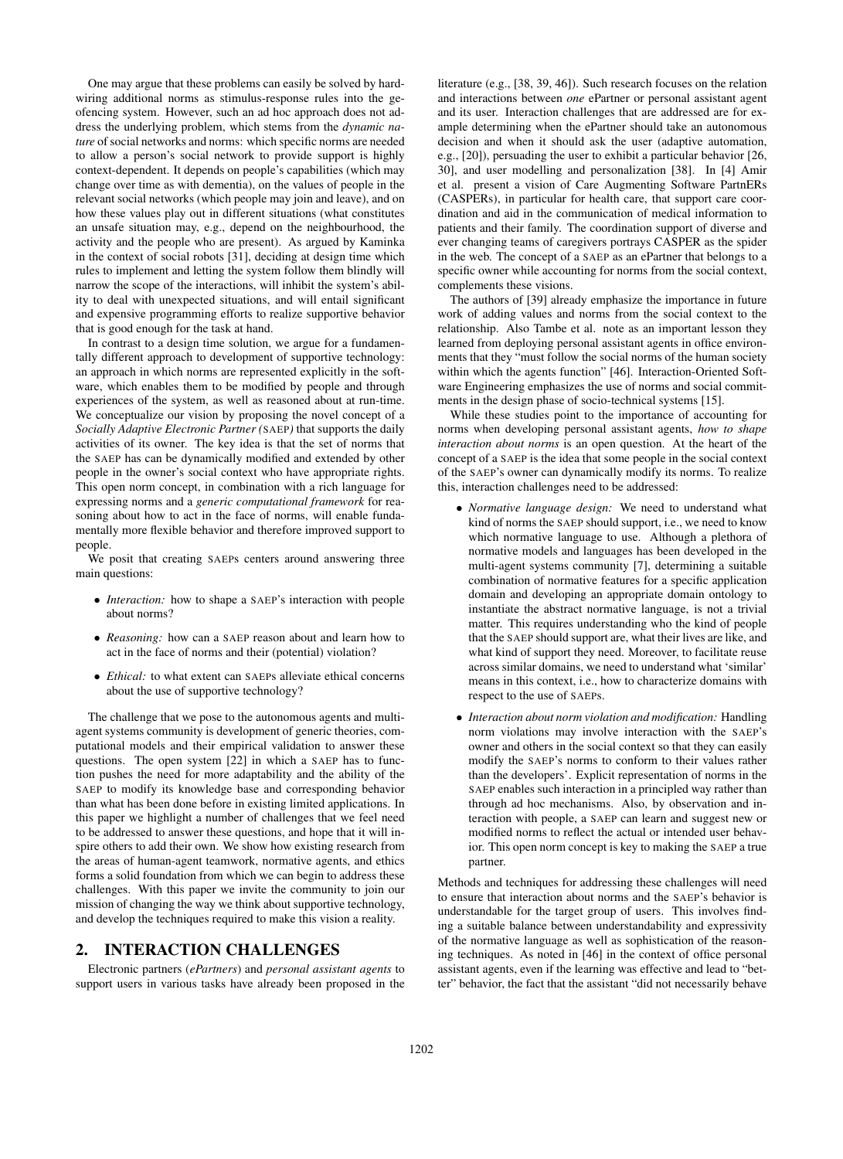One may argue that these problems can easily be solved by hardwiring additional norms as stimulus-response rules into the geofencing system. However, such an ad hoc approach does not address the underlying problem, which stems from the *dynamic nature* of social networks and norms: which specific norms are needed to allow a person's social network to provide support is highly context-dependent. It depends on people's capabilities (which may change over time as with dementia), on the values of people in the relevant social networks (which people may join and leave), and on how these values play out in different situations (what constitutes an unsafe situation may, e.g., depend on the neighbourhood, the activity and the people who are present). As argued by Kaminka in the context of social robots [31], deciding at design time which rules to implement and letting the system follow them blindly will narrow the scope of the interactions, will inhibit the system's ability to deal with unexpected situations, and will entail significant and expensive programming efforts to realize supportive behavior that is good enough for the task at hand.

In contrast to a design time solution, we argue for a fundamentally different approach to development of supportive technology: an approach in which norms are represented explicitly in the software, which enables them to be modified by people and through experiences of the system, as well as reasoned about at run-time. We conceptualize our vision by proposing the novel concept of a *Socially Adaptive Electronic Partner (*SAEP*)* that supports the daily activities of its owner. The key idea is that the set of norms that the SAEP has can be dynamically modified and extended by other people in the owner's social context who have appropriate rights. This open norm concept, in combination with a rich language for expressing norms and a *generic computational framework* for reasoning about how to act in the face of norms, will enable fundamentally more flexible behavior and therefore improved support to people.

We posit that creating SAEPs centers around answering three main questions:

- *Interaction:* how to shape a SAEP's interaction with people about norms?
- *Reasoning:* how can a SAEP reason about and learn how to act in the face of norms and their (potential) violation?
- *Ethical:* to what extent can SAEPs alleviate ethical concerns about the use of supportive technology?

The challenge that we pose to the autonomous agents and multiagent systems community is development of generic theories, computational models and their empirical validation to answer these questions. The open system [22] in which a SAEP has to function pushes the need for more adaptability and the ability of the SAEP to modify its knowledge base and corresponding behavior than what has been done before in existing limited applications. In this paper we highlight a number of challenges that we feel need to be addressed to answer these questions, and hope that it will inspire others to add their own. We show how existing research from the areas of human-agent teamwork, normative agents, and ethics forms a solid foundation from which we can begin to address these challenges. With this paper we invite the community to join our mission of changing the way we think about supportive technology, and develop the techniques required to make this vision a reality.

#### 2. INTERACTION CHALLENGES

Electronic partners (*ePartners*) and *personal assistant agents* to support users in various tasks have already been proposed in the

literature (e.g., [38, 39, 46]). Such research focuses on the relation and interactions between *one* ePartner or personal assistant agent and its user. Interaction challenges that are addressed are for example determining when the ePartner should take an autonomous decision and when it should ask the user (adaptive automation, e.g., [20]), persuading the user to exhibit a particular behavior [26, 30], and user modelling and personalization [38]. In [4] Amir et al. present a vision of Care Augmenting Software PartnERs (CASPERs), in particular for health care, that support care coordination and aid in the communication of medical information to patients and their family. The coordination support of diverse and ever changing teams of caregivers portrays CASPER as the spider in the web. The concept of a SAEP as an ePartner that belongs to a specific owner while accounting for norms from the social context, complements these visions.

The authors of [39] already emphasize the importance in future work of adding values and norms from the social context to the relationship. Also Tambe et al. note as an important lesson they learned from deploying personal assistant agents in office environments that they "must follow the social norms of the human society within which the agents function" [46]. Interaction-Oriented Software Engineering emphasizes the use of norms and social commitments in the design phase of socio-technical systems [15].

While these studies point to the importance of accounting for norms when developing personal assistant agents, *how to shape interaction about norms* is an open question. At the heart of the concept of a SAEP is the idea that some people in the social context of the SAEP's owner can dynamically modify its norms. To realize this, interaction challenges need to be addressed:

- *Normative language design:* We need to understand what kind of norms the SAEP should support, i.e., we need to know which normative language to use. Although a plethora of normative models and languages has been developed in the multi-agent systems community [7], determining a suitable combination of normative features for a specific application domain and developing an appropriate domain ontology to instantiate the abstract normative language, is not a trivial matter. This requires understanding who the kind of people that the SAEP should support are, what their lives are like, and what kind of support they need. Moreover, to facilitate reuse across similar domains, we need to understand what 'similar' means in this context, i.e., how to characterize domains with respect to the use of SAEPs.
- *Interaction about norm violation and modification:* Handling norm violations may involve interaction with the SAEP's owner and others in the social context so that they can easily modify the SAEP's norms to conform to their values rather than the developers'. Explicit representation of norms in the SAEP enables such interaction in a principled way rather than through ad hoc mechanisms. Also, by observation and interaction with people, a SAEP can learn and suggest new or modified norms to reflect the actual or intended user behavior. This open norm concept is key to making the SAEP a true partner.

Methods and techniques for addressing these challenges will need to ensure that interaction about norms and the SAEP's behavior is understandable for the target group of users. This involves finding a suitable balance between understandability and expressivity of the normative language as well as sophistication of the reasoning techniques. As noted in [46] in the context of office personal assistant agents, even if the learning was effective and lead to "better" behavior, the fact that the assistant "did not necessarily behave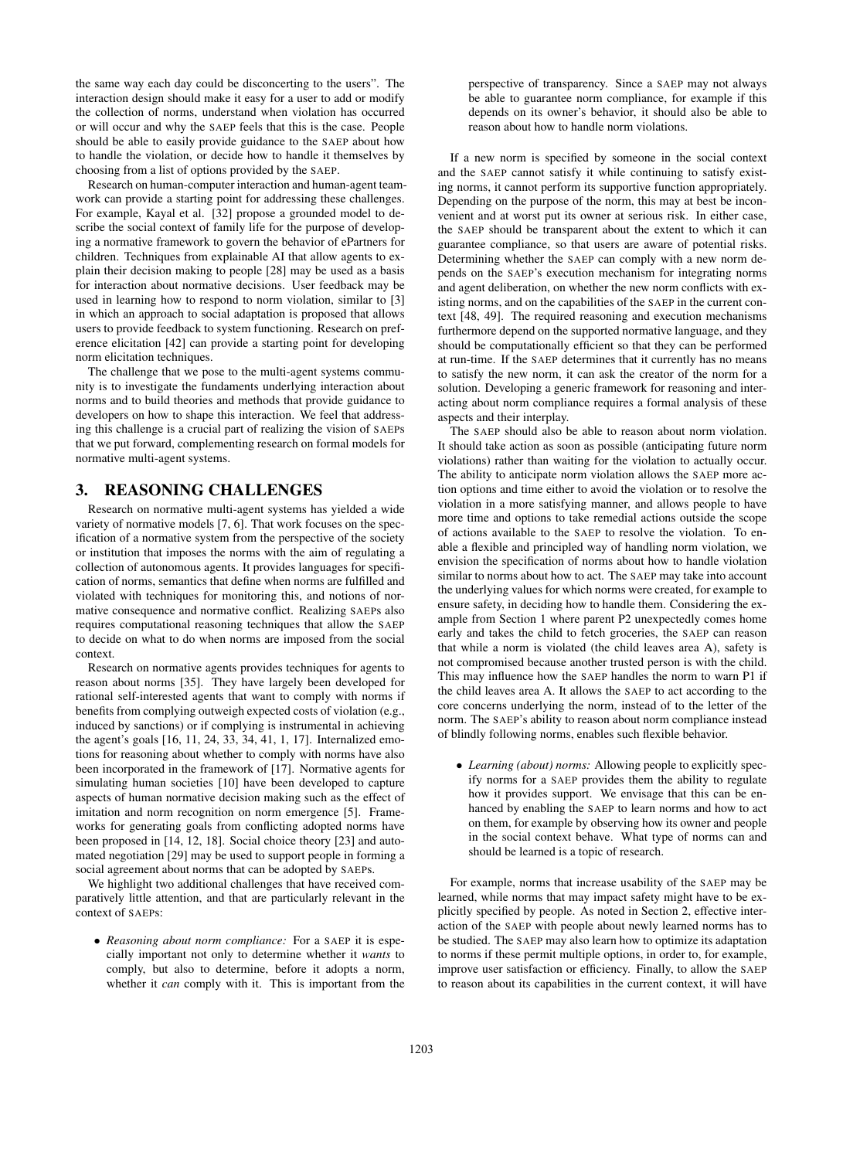the same way each day could be disconcerting to the users". The interaction design should make it easy for a user to add or modify the collection of norms, understand when violation has occurred or will occur and why the SAEP feels that this is the case. People should be able to easily provide guidance to the SAEP about how to handle the violation, or decide how to handle it themselves by choosing from a list of options provided by the SAEP.

Research on human-computer interaction and human-agent teamwork can provide a starting point for addressing these challenges. For example, Kayal et al. [32] propose a grounded model to describe the social context of family life for the purpose of developing a normative framework to govern the behavior of ePartners for children. Techniques from explainable AI that allow agents to explain their decision making to people [28] may be used as a basis for interaction about normative decisions. User feedback may be used in learning how to respond to norm violation, similar to [3] in which an approach to social adaptation is proposed that allows users to provide feedback to system functioning. Research on preference elicitation [42] can provide a starting point for developing norm elicitation techniques.

The challenge that we pose to the multi-agent systems community is to investigate the fundaments underlying interaction about norms and to build theories and methods that provide guidance to developers on how to shape this interaction. We feel that addressing this challenge is a crucial part of realizing the vision of SAEPs that we put forward, complementing research on formal models for normative multi-agent systems.

## 3. REASONING CHALLENGES

Research on normative multi-agent systems has yielded a wide variety of normative models [7, 6]. That work focuses on the specification of a normative system from the perspective of the society or institution that imposes the norms with the aim of regulating a collection of autonomous agents. It provides languages for specification of norms, semantics that define when norms are fulfilled and violated with techniques for monitoring this, and notions of normative consequence and normative conflict. Realizing SAEPs also requires computational reasoning techniques that allow the SAEP to decide on what to do when norms are imposed from the social context.

Research on normative agents provides techniques for agents to reason about norms [35]. They have largely been developed for rational self-interested agents that want to comply with norms if benefits from complying outweigh expected costs of violation (e.g., induced by sanctions) or if complying is instrumental in achieving the agent's goals [16, 11, 24, 33, 34, 41, 1, 17]. Internalized emotions for reasoning about whether to comply with norms have also been incorporated in the framework of [17]. Normative agents for simulating human societies [10] have been developed to capture aspects of human normative decision making such as the effect of imitation and norm recognition on norm emergence [5]. Frameworks for generating goals from conflicting adopted norms have been proposed in [14, 12, 18]. Social choice theory [23] and automated negotiation [29] may be used to support people in forming a social agreement about norms that can be adopted by SAEPs.

We highlight two additional challenges that have received comparatively little attention, and that are particularly relevant in the context of SAEPs:

• *Reasoning about norm compliance:* For a SAEP it is especially important not only to determine whether it *wants* to comply, but also to determine, before it adopts a norm, whether it *can* comply with it. This is important from the

perspective of transparency. Since a SAEP may not always be able to guarantee norm compliance, for example if this depends on its owner's behavior, it should also be able to reason about how to handle norm violations.

If a new norm is specified by someone in the social context and the SAEP cannot satisfy it while continuing to satisfy existing norms, it cannot perform its supportive function appropriately. Depending on the purpose of the norm, this may at best be inconvenient and at worst put its owner at serious risk. In either case, the SAEP should be transparent about the extent to which it can guarantee compliance, so that users are aware of potential risks. Determining whether the SAEP can comply with a new norm depends on the SAEP's execution mechanism for integrating norms and agent deliberation, on whether the new norm conflicts with existing norms, and on the capabilities of the SAEP in the current context [48, 49]. The required reasoning and execution mechanisms furthermore depend on the supported normative language, and they should be computationally efficient so that they can be performed at run-time. If the SAEP determines that it currently has no means to satisfy the new norm, it can ask the creator of the norm for a solution. Developing a generic framework for reasoning and interacting about norm compliance requires a formal analysis of these aspects and their interplay.

The SAEP should also be able to reason about norm violation. It should take action as soon as possible (anticipating future norm violations) rather than waiting for the violation to actually occur. The ability to anticipate norm violation allows the SAEP more action options and time either to avoid the violation or to resolve the violation in a more satisfying manner, and allows people to have more time and options to take remedial actions outside the scope of actions available to the SAEP to resolve the violation. To enable a flexible and principled way of handling norm violation, we envision the specification of norms about how to handle violation similar to norms about how to act. The SAEP may take into account the underlying values for which norms were created, for example to ensure safety, in deciding how to handle them. Considering the example from Section 1 where parent P2 unexpectedly comes home early and takes the child to fetch groceries, the SAEP can reason that while a norm is violated (the child leaves area A), safety is not compromised because another trusted person is with the child. This may influence how the SAEP handles the norm to warn P1 if the child leaves area A. It allows the SAEP to act according to the core concerns underlying the norm, instead of to the letter of the norm. The SAEP's ability to reason about norm compliance instead of blindly following norms, enables such flexible behavior.

• *Learning (about) norms:* Allowing people to explicitly specify norms for a SAEP provides them the ability to regulate how it provides support. We envisage that this can be enhanced by enabling the SAEP to learn norms and how to act on them, for example by observing how its owner and people in the social context behave. What type of norms can and should be learned is a topic of research.

For example, norms that increase usability of the SAEP may be learned, while norms that may impact safety might have to be explicitly specified by people. As noted in Section 2, effective interaction of the SAEP with people about newly learned norms has to be studied. The SAEP may also learn how to optimize its adaptation to norms if these permit multiple options, in order to, for example, improve user satisfaction or efficiency. Finally, to allow the SAEP to reason about its capabilities in the current context, it will have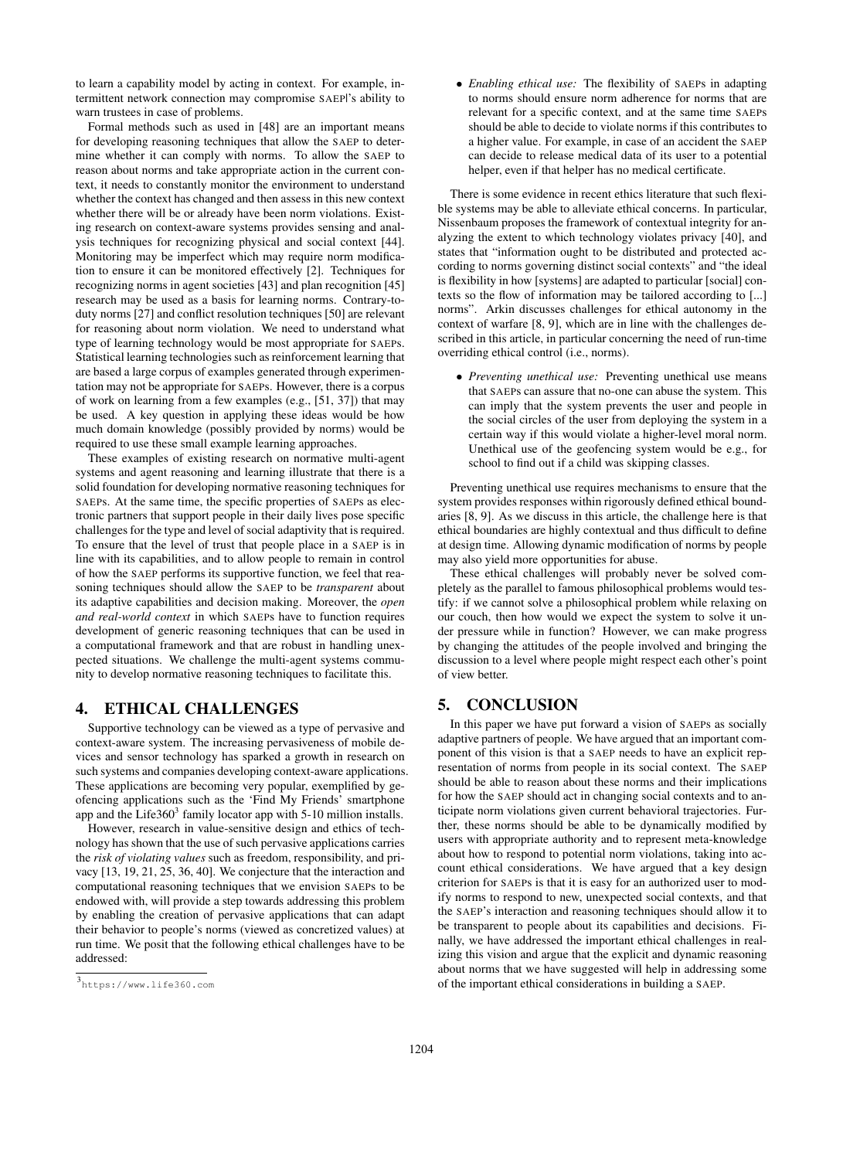to learn a capability model by acting in context. For example, intermittent network connection may compromise SAEP|'s ability to warn trustees in case of problems.

Formal methods such as used in [48] are an important means for developing reasoning techniques that allow the SAEP to determine whether it can comply with norms. To allow the SAEP to reason about norms and take appropriate action in the current context, it needs to constantly monitor the environment to understand whether the context has changed and then assess in this new context whether there will be or already have been norm violations. Existing research on context-aware systems provides sensing and analysis techniques for recognizing physical and social context [44]. Monitoring may be imperfect which may require norm modification to ensure it can be monitored effectively [2]. Techniques for recognizing norms in agent societies [43] and plan recognition [45] research may be used as a basis for learning norms. Contrary-toduty norms [27] and conflict resolution techniques [50] are relevant for reasoning about norm violation. We need to understand what type of learning technology would be most appropriate for SAEPs. Statistical learning technologies such as reinforcement learning that are based a large corpus of examples generated through experimentation may not be appropriate for SAEPs. However, there is a corpus of work on learning from a few examples (e.g., [51, 37]) that may be used. A key question in applying these ideas would be how much domain knowledge (possibly provided by norms) would be required to use these small example learning approaches.

These examples of existing research on normative multi-agent systems and agent reasoning and learning illustrate that there is a solid foundation for developing normative reasoning techniques for SAEPs. At the same time, the specific properties of SAEPs as electronic partners that support people in their daily lives pose specific challenges for the type and level of social adaptivity that is required. To ensure that the level of trust that people place in a SAEP is in line with its capabilities, and to allow people to remain in control of how the SAEP performs its supportive function, we feel that reasoning techniques should allow the SAEP to be *transparent* about its adaptive capabilities and decision making. Moreover, the *open and real-world context* in which SAEPs have to function requires development of generic reasoning techniques that can be used in a computational framework and that are robust in handling unexpected situations. We challenge the multi-agent systems community to develop normative reasoning techniques to facilitate this.

## 4. ETHICAL CHALLENGES

Supportive technology can be viewed as a type of pervasive and context-aware system. The increasing pervasiveness of mobile devices and sensor technology has sparked a growth in research on such systems and companies developing context-aware applications. These applications are becoming very popular, exemplified by geofencing applications such as the 'Find My Friends' smartphone app and the Life $360<sup>3</sup>$  family locator app with 5-10 million installs.

However, research in value-sensitive design and ethics of technology has shown that the use of such pervasive applications carries the *risk of violating values* such as freedom, responsibility, and privacy [13, 19, 21, 25, 36, 40]. We conjecture that the interaction and computational reasoning techniques that we envision SAEPs to be endowed with, will provide a step towards addressing this problem by enabling the creation of pervasive applications that can adapt their behavior to people's norms (viewed as concretized values) at run time. We posit that the following ethical challenges have to be addressed:

• *Enabling ethical use:* The flexibility of SAEPs in adapting to norms should ensure norm adherence for norms that are relevant for a specific context, and at the same time SAEPs should be able to decide to violate norms if this contributes to a higher value. For example, in case of an accident the SAEP can decide to release medical data of its user to a potential helper, even if that helper has no medical certificate.

There is some evidence in recent ethics literature that such flexible systems may be able to alleviate ethical concerns. In particular, Nissenbaum proposes the framework of contextual integrity for analyzing the extent to which technology violates privacy [40], and states that "information ought to be distributed and protected according to norms governing distinct social contexts" and "the ideal is flexibility in how [systems] are adapted to particular [social] contexts so the flow of information may be tailored according to [...] norms". Arkin discusses challenges for ethical autonomy in the context of warfare [8, 9], which are in line with the challenges described in this article, in particular concerning the need of run-time overriding ethical control (i.e., norms).

• *Preventing unethical use:* Preventing unethical use means that SAEPs can assure that no-one can abuse the system. This can imply that the system prevents the user and people in the social circles of the user from deploying the system in a certain way if this would violate a higher-level moral norm. Unethical use of the geofencing system would be e.g., for school to find out if a child was skipping classes.

Preventing unethical use requires mechanisms to ensure that the system provides responses within rigorously defined ethical boundaries [8, 9]. As we discuss in this article, the challenge here is that ethical boundaries are highly contextual and thus difficult to define at design time. Allowing dynamic modification of norms by people may also yield more opportunities for abuse.

These ethical challenges will probably never be solved completely as the parallel to famous philosophical problems would testify: if we cannot solve a philosophical problem while relaxing on our couch, then how would we expect the system to solve it under pressure while in function? However, we can make progress by changing the attitudes of the people involved and bringing the discussion to a level where people might respect each other's point of view better.

## 5. CONCLUSION

In this paper we have put forward a vision of SAEPs as socially adaptive partners of people. We have argued that an important component of this vision is that a SAEP needs to have an explicit representation of norms from people in its social context. The SAEP should be able to reason about these norms and their implications for how the SAEP should act in changing social contexts and to anticipate norm violations given current behavioral trajectories. Further, these norms should be able to be dynamically modified by users with appropriate authority and to represent meta-knowledge about how to respond to potential norm violations, taking into account ethical considerations. We have argued that a key design criterion for SAEPs is that it is easy for an authorized user to modify norms to respond to new, unexpected social contexts, and that the SAEP's interaction and reasoning techniques should allow it to be transparent to people about its capabilities and decisions. Finally, we have addressed the important ethical challenges in realizing this vision and argue that the explicit and dynamic reasoning about norms that we have suggested will help in addressing some of the important ethical considerations in building a SAEP.

<sup>3</sup> https://www.life360.com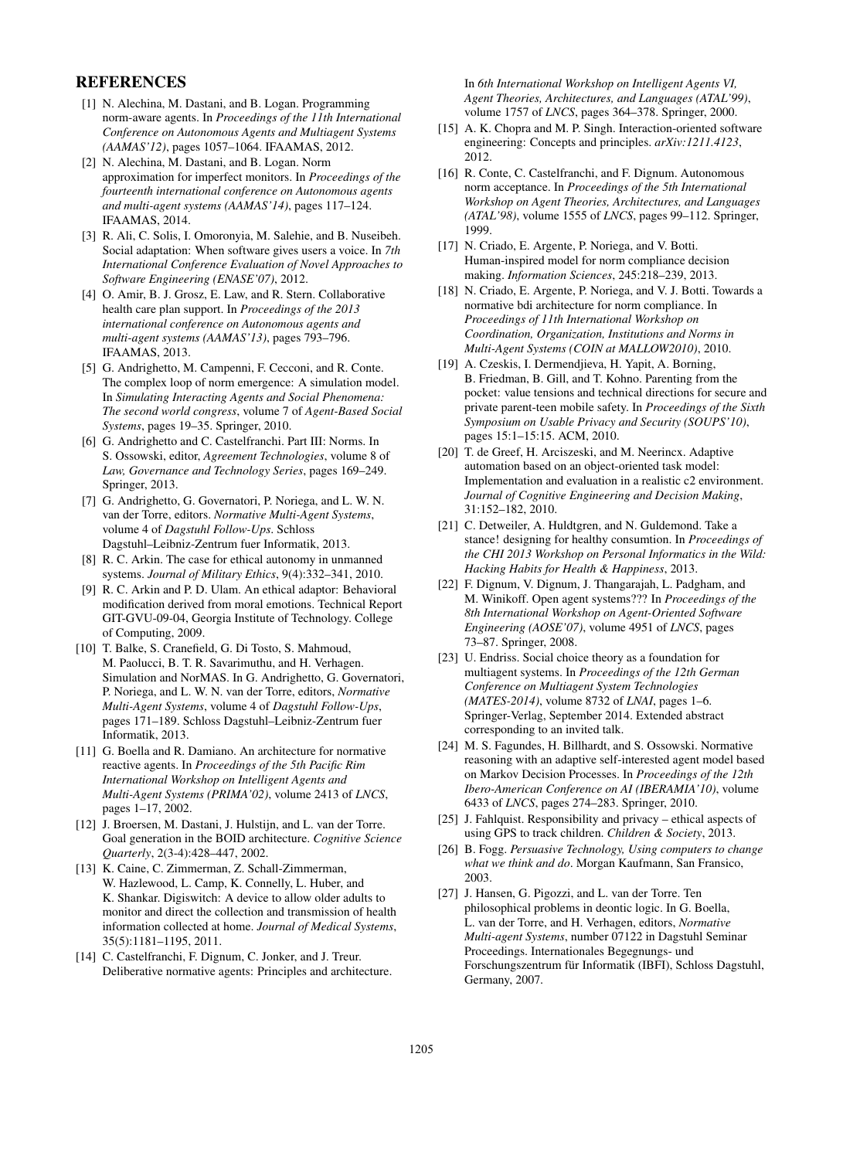## **REFERENCES**

- [1] N. Alechina, M. Dastani, and B. Logan. Programming norm-aware agents. In *Proceedings of the 11th International Conference on Autonomous Agents and Multiagent Systems (AAMAS'12)*, pages 1057–1064. IFAAMAS, 2012.
- [2] N. Alechina, M. Dastani, and B. Logan. Norm approximation for imperfect monitors. In *Proceedings of the fourteenth international conference on Autonomous agents and multi-agent systems (AAMAS'14)*, pages 117–124. IFAAMAS, 2014.
- [3] R. Ali, C. Solis, I. Omoronyia, M. Salehie, and B. Nuseibeh. Social adaptation: When software gives users a voice. In *7th International Conference Evaluation of Novel Approaches to Software Engineering (ENASE'07)*, 2012.
- [4] O. Amir, B. J. Grosz, E. Law, and R. Stern. Collaborative health care plan support. In *Proceedings of the 2013 international conference on Autonomous agents and multi-agent systems (AAMAS'13)*, pages 793–796. IFAAMAS, 2013.
- [5] G. Andrighetto, M. Campenni, F. Cecconi, and R. Conte. The complex loop of norm emergence: A simulation model. In *Simulating Interacting Agents and Social Phenomena: The second world congress*, volume 7 of *Agent-Based Social Systems*, pages 19–35. Springer, 2010.
- [6] G. Andrighetto and C. Castelfranchi. Part III: Norms. In S. Ossowski, editor, *Agreement Technologies*, volume 8 of *Law, Governance and Technology Series*, pages 169–249. Springer, 2013.
- [7] G. Andrighetto, G. Governatori, P. Noriega, and L. W. N. van der Torre, editors. *Normative Multi-Agent Systems*, volume 4 of *Dagstuhl Follow-Ups*. Schloss Dagstuhl–Leibniz-Zentrum fuer Informatik, 2013.
- [8] R. C. Arkin. The case for ethical autonomy in unmanned systems. *Journal of Military Ethics*, 9(4):332–341, 2010.
- [9] R. C. Arkin and P. D. Ulam. An ethical adaptor: Behavioral modification derived from moral emotions. Technical Report GIT-GVU-09-04, Georgia Institute of Technology. College of Computing, 2009.
- [10] T. Balke, S. Cranefield, G. Di Tosto, S. Mahmoud, M. Paolucci, B. T. R. Savarimuthu, and H. Verhagen. Simulation and NorMAS. In G. Andrighetto, G. Governatori, P. Noriega, and L. W. N. van der Torre, editors, *Normative Multi-Agent Systems*, volume 4 of *Dagstuhl Follow-Ups*, pages 171–189. Schloss Dagstuhl–Leibniz-Zentrum fuer Informatik, 2013.
- [11] G. Boella and R. Damiano. An architecture for normative reactive agents. In *Proceedings of the 5th Pacific Rim International Workshop on Intelligent Agents and Multi-Agent Systems (PRIMA'02)*, volume 2413 of *LNCS*, pages 1–17, 2002.
- [12] J. Broersen, M. Dastani, J. Hulstijn, and L. van der Torre. Goal generation in the BOID architecture. *Cognitive Science Quarterly*, 2(3-4):428–447, 2002.
- [13] K. Caine, C. Zimmerman, Z. Schall-Zimmerman, W. Hazlewood, L. Camp, K. Connelly, L. Huber, and K. Shankar. Digiswitch: A device to allow older adults to monitor and direct the collection and transmission of health information collected at home. *Journal of Medical Systems*, 35(5):1181–1195, 2011.
- [14] C. Castelfranchi, F. Dignum, C. Jonker, and J. Treur. Deliberative normative agents: Principles and architecture.

In *6th International Workshop on Intelligent Agents VI, Agent Theories, Architectures, and Languages (ATAL'99)*, volume 1757 of *LNCS*, pages 364–378. Springer, 2000.

- [15] A. K. Chopra and M. P. Singh. Interaction-oriented software engineering: Concepts and principles. *arXiv:1211.4123*, 2012.
- [16] R. Conte, C. Castelfranchi, and F. Dignum. Autonomous norm acceptance. In *Proceedings of the 5th International Workshop on Agent Theories, Architectures, and Languages (ATAL'98)*, volume 1555 of *LNCS*, pages 99–112. Springer, 1999.
- [17] N. Criado, E. Argente, P. Noriega, and V. Botti. Human-inspired model for norm compliance decision making. *Information Sciences*, 245:218–239, 2013.
- [18] N. Criado, E. Argente, P. Noriega, and V. J. Botti. Towards a normative bdi architecture for norm compliance. In *Proceedings of 11th International Workshop on Coordination, Organization, Institutions and Norms in Multi-Agent Systems (COIN at MALLOW2010)*, 2010.
- [19] A. Czeskis, I. Dermendjieva, H. Yapit, A. Borning, B. Friedman, B. Gill, and T. Kohno. Parenting from the pocket: value tensions and technical directions for secure and private parent-teen mobile safety. In *Proceedings of the Sixth Symposium on Usable Privacy and Security (SOUPS'10)*, pages 15:1–15:15. ACM, 2010.
- [20] T. de Greef, H. Arciszeski, and M. Neerincx. Adaptive automation based on an object-oriented task model: Implementation and evaluation in a realistic c2 environment. *Journal of Cognitive Engineering and Decision Making*, 31:152–182, 2010.
- [21] C. Detweiler, A. Huldtgren, and N. Guldemond. Take a stance! designing for healthy consumtion. In *Proceedings of the CHI 2013 Workshop on Personal Informatics in the Wild: Hacking Habits for Health & Happiness*, 2013.
- [22] F. Dignum, V. Dignum, J. Thangarajah, L. Padgham, and M. Winikoff. Open agent systems??? In *Proceedings of the 8th International Workshop on Agent-Oriented Software Engineering (AOSE'07)*, volume 4951 of *LNCS*, pages 73–87. Springer, 2008.
- [23] U. Endriss. Social choice theory as a foundation for multiagent systems. In *Proceedings of the 12th German Conference on Multiagent System Technologies (MATES-2014)*, volume 8732 of *LNAI*, pages 1–6. Springer-Verlag, September 2014. Extended abstract corresponding to an invited talk.
- [24] M. S. Fagundes, H. Billhardt, and S. Ossowski. Normative reasoning with an adaptive self-interested agent model based on Markov Decision Processes. In *Proceedings of the 12th Ibero-American Conference on AI (IBERAMIA'10)*, volume 6433 of *LNCS*, pages 274–283. Springer, 2010.
- [25] J. Fahlquist. Responsibility and privacy ethical aspects of using GPS to track children. *Children & Society*, 2013.
- [26] B. Fogg. *Persuasive Technology, Using computers to change what we think and do*. Morgan Kaufmann, San Fransico, 2003.
- [27] J. Hansen, G. Pigozzi, and L. van der Torre. Ten philosophical problems in deontic logic. In G. Boella, L. van der Torre, and H. Verhagen, editors, *Normative Multi-agent Systems*, number 07122 in Dagstuhl Seminar Proceedings. Internationales Begegnungs- und Forschungszentrum für Informatik (IBFI), Schloss Dagstuhl, Germany, 2007.